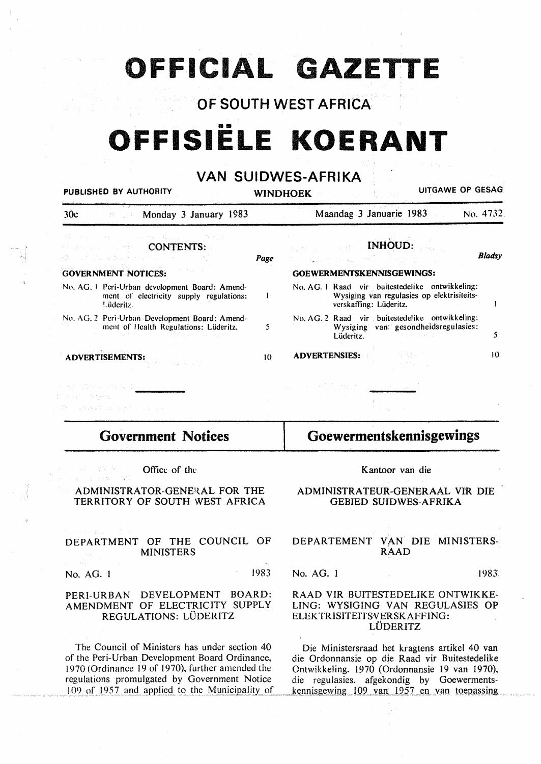# **OFFICIAL GAZETTE**

#### OF SOUTH WEST AFRICA

# •• **OFFISIELE KOERANT**

#### **VAN SUIDWES-AFRIKA**

| PUBLISHED BY AUTHORITY                                                                                                                                                        |                 | UITGAWE OP GESAG<br>WINDHOEK<br>in Albert                                                                                    |
|-------------------------------------------------------------------------------------------------------------------------------------------------------------------------------|-----------------|------------------------------------------------------------------------------------------------------------------------------|
| <b>Example 2.1 Monday 3 January 1983</b><br>30c                                                                                                                               |                 | Maandag 3 Januarie 1983<br>No. 4732.                                                                                         |
| ACTIVITY IN THE REPORT OF A REPORT OF THE PRESS<br><b>CONTENTS:</b><br>$\sim 12$ . The set $\mathbb{R}$ and $\mathbb{R}$ is the set of $\mathbb{R}$ . The set of $\mathbb{R}$ | Page            | <b>INHOUD:</b><br><b>C. 化二氯 人名英格兰</b><br><b>Bladsy</b><br>日本 (数)                                                             |
| <b>GOVERNMENT NOTICES:</b>                                                                                                                                                    |                 | GOEWERMENTSKENNISGEWINGS:                                                                                                    |
| No. AG. 1 Peri-Urban development Board: Amend-<br>ment of electricity supply regulations:<br>Lüderitz.                                                                        | $\mathbf{I}$    | No. AG. 1 Raad vir buitestedelike ontwikkeling:<br>Wysiging van regulasies op elektrisiteits-<br>verskaffing: Lüderitz.<br>1 |
| No. AG. 2 Peri-Urban Development Board: Amend-<br>ment of Health Regulations: Lüderitz.                                                                                       | 5               | No. AG. 2 Raad vir buitestedelike ontwikkeling:<br>Wysiging van gesondheidsregulasies:<br>5<br>Lüderitz.                     |
| ADVERTISEMENTS:                                                                                                                                                               | 10 <sup>°</sup> | 10<br><b>ADVERTENSIES:</b>                                                                                                   |
| - Aktivation de Ville II (1999)<br>Chair Charles                                                                                                                              |                 |                                                                                                                              |
| za ostala za seguna za pr                                                                                                                                                     |                 |                                                                                                                              |
| <b>Government Notices</b>                                                                                                                                                     |                 | <b>Goewermentskennisgewings</b>                                                                                              |
| 45 - 날에 가지<br>Office of the                                                                                                                                                   |                 | Kantoor van die                                                                                                              |
| ADMINISTRATOR-GENERAL FOR THE<br>TERRITORY OF SOUTH WEST AFRICA                                                                                                               |                 | ADMINISTRATEUR-GENERAAL VIR DIE<br><b>GEBIED SUIDWES-AFRIKA</b>                                                              |
|                                                                                                                                                                               |                 |                                                                                                                              |

#### DEPARTMENT OF THE COUNCIL OF MINISTERS

No. AG. 1 1983

#### PERI-URBAN DEVELOPMENT BOARD: AMENDMENT OF ELECTRICITY SUPPLY REGULATIONS: LUDERITZ

The Council of Ministers has under section 40 of the Peri-Urban Development Board Ordinance, 1970 (Ordinance 19 of 1970), further amended the regulations promulgated by Government Notice I 09 or I 957 and applied to the Municipality of

#### DEPARTEMENT VAN DIE MINISTERS-RAAD

No. AG. 1 1983;

#### RAAD VIR BUITESTEDELIKE ONTWIKKE-LING: WYSIGING VAN REGULASIES OP ELEKTRISITEITSVERSKAFFING: LUOERITZ

Die Ministersraad het kragtens artikel 40 van die Ordonnansie op die Raad vir Buitestedelike Ontwikkeling, 1970 (Ordonnansie 19 van 1970), die regulasies, afgekondig by Goewermentskennisgewing 109 van 1957 en van toepassing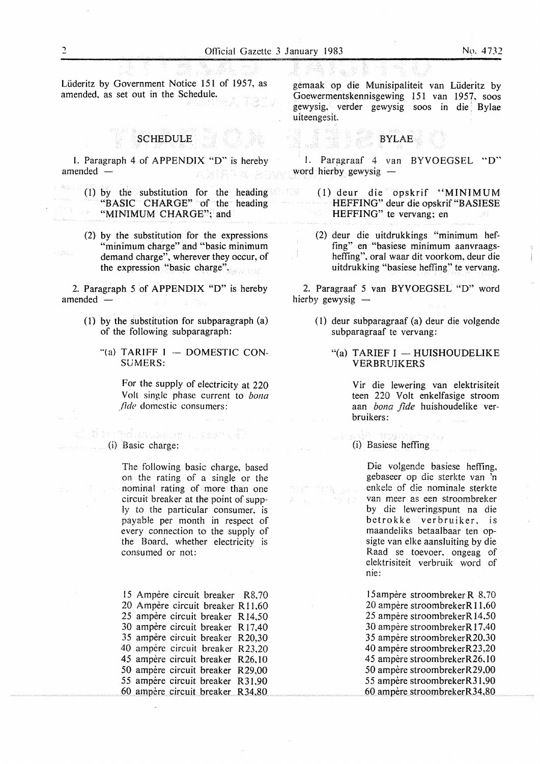Lüderitz by Government Notice 151 of 1957, as amended, as set out in the Schedule.

### SCHEDULE

I. Paragraph 4 of APPENDIX "D" is hereby amended -

(l) by the substitution for the heading "BASIC" CHARGE" of the heading "MINIMUM CHARGE"; and

(2) by the substitution for the expressions "minimum charge" and "basic minimum demand charge", wherever they occur, of the expression "basic charge".

2. Paragraph 5 of **APPENDIX "D"** is hereby  $a$ mended  $-$ 

- (I) by the substitution for subparagraph (a) of the following subparagraph:
	- "(a) TARIFF  $I -$  DOMESTIC CON-SUMERS:

For the supply of electricity at 220 Volt single phase current to *bona*  fide domestic consumers:

(i) Basic charge:<br>(i) Basic charge:

The following basic charge, based on the rating of a single or the nominal rating of more than one circuit breaker at the point of supply to the particular consumer, is payable per month in respect of every connection to the supply of the Board, whether electricity is consumed or not:

15 Ampere circuit breaker R8, 70 20 Ampère circuit breaker R11,60 25 ampère circuit breaker R14,50 30 ampere circuit breaker R 17,40 35 ampere circuit breaker R20,30 40 ampère circuit breaker R23,20 45 ampère circuit breaker R26,10 50 ampère circuit breaker R29,00 55 ampère circuit breaker R31,90 60 ampère circuit breaker R34,80

gemaak op die Munisipaliteit van Lüderitz by Goewermentskennisgewing 151 van 1957, soos gewysig, verder gewysig soos in die Bylae uiteengesit.

#### BYLAE

1. Paragraaf 4 van BYVOEGSEL "D" word hierby gewysig

- (1) deur die opskrif "MINIMUM REFFING" deur die opskrif "BASIESE HEFFING" te vervang: en
- (2) deur die uitdrukkings "minimum hefting" en "basiese minimum aanvraagsheffing", oral waar dit voorkom, deur die uitdrukking "basiese heffing" te vervang.

2. Paragraaf 5 van BYVOEGSEL "D" word hierby gewysig  $-$ 

- ( 1) deur subparagraaf (a) deur die volgendc subparagraaf te vervang:
	- "(a) TARIEF  $I$  HUISHOUDELIKE VERBRUIKERS

Vir die lewering van elektrisiteit teen 220 Volt enkelfasige stroom aan *bona fide* huishoudelike verbruikers:

(i) Basiese heffing

Die volgende basiese heffing, gebaseer op die sterkte van 'n enkele of die nominale sterkte van meer as een stroombreker by die leweringspunt na die betrokke verbruiker, is maandeliks betaalbaar ten opsigte van elke aansluiting by die Raad se toevoer. ongeag of elektrisiteit verbruik word of nie:

15ampère stroombreker R 8,70 20 ampère stroombrekerR11,60 25 ampère stroombrekerR 14,50 30 ampere stroombrekerR 17,40 35 ampere stroombrekerR20,30 40 ampere stroombrekerR23.20 45 ampère stroombrekerR26,10 50 ampère stroombrekerR29,00 *55* ampere stroombrekerR3 l,90 60 ampere stroombrekerR34,80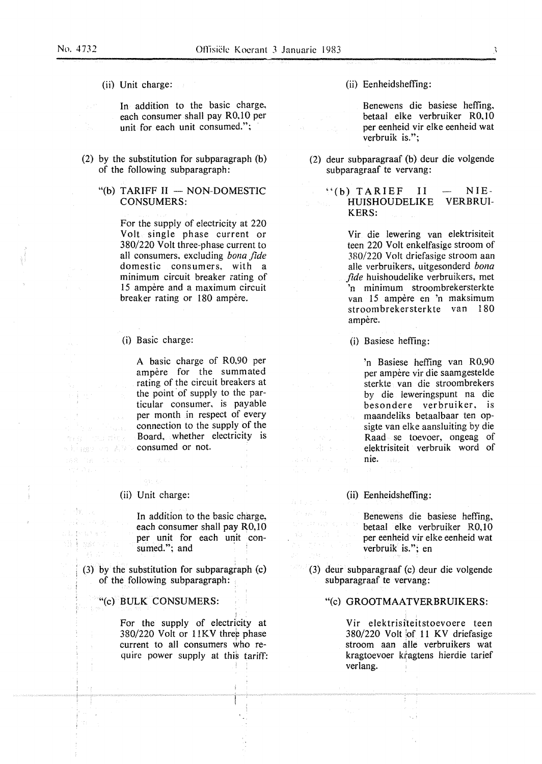(ii) Unit charge:

In addition to the basic charge, each consumer shall pay R0,10 per unit for each unit consumed.";

- (2) by the substitution for subparagraph (b) of the following subparagraph:
	- "(b) TARIFF  $II$  NON-DOMESTIC CONSUMERS:

For the supply of electricity at 220 Volt single phase current or 380/220 Volt three-phase current to all consumers, excluding *bona fide*  domestic consumers, with a minimum circuit breaker rating of 15 ampere and a maximum circuit breaker rating or 180 ampère.

#### (i} Basic charge:

A basic charge of R0,90 per ampère for the summated rating of the circuit breakers at the point of supply to the particular consumer, is payable per month in respect of every connection to the supply of the Board, whether electricity is consumed or not.

#### (ii) Unit charge:

ma vunita

188 NBC 14 RWL

(四) 四 in Albanya **Same Kara** 

In addition to the basic charge, each consumer shall pay R0,10 per unit for each unit consumed."; and

(3) by the substitution for subparagraph (c) of the following subparagraph:

#### ""(c) BULK CONSUMERS:

I For the supply of electricity at 380/220 Volt or 11KV three phase current to all consumers who require power supply at this tariff: (ii) Eenheidsheffing:

Benewens die basiese hefting, betaal elke verbruiker R0,10 per eenheid vir elke eenheid wat verbruik is.";

- (2) deur subparagraaf (b) deur die volgende subparagraaf te vervang:
	- $'$ (b) TARIEF II HUISHOUDELIKE KERS: NIE-VERBRUI-

Vir die lewering van elektrisiteit teen 220 Volt enkelfasige stroom of 380/220 Volt driefasige stroom aan alle verbruikers, uitgesonderd *bona fide* huishoudelike verbruikers, met 'n minimum stroombrekersterkte van 15 ampere en 'n maksimum stroombrekersterkte van 180 ampère.

(i) Basiese hefting:

'n Basiese hefting van R0,90 per ampere vir die saamgestelde sterkte van die stroombrekers by die leweringspunt na die besondere verbruiker, is maandeliks betaalbaar ten opsigte van elke aansluiting by die Raad se toevoer, ongeag of elektrisiteit verbruik word of nie.

(ii) Eenheidsheffing:

 $\mathcal{L}_{\mathcal{A}}$  ,  $\mathcal{L}_{\mathcal{A}}$ (指出))

> Benewens die basiese hefting, betaal elke verbruiker R0,10 per eenheid vir elke eenheid wat verbruik is."; en

(3) deur subparagraaf (c) deur die volgende subparagraaf te vervang:

#### "(c) **GROOTMAATVERBRUIKERS:**

Vir elektrisiteitstoevoere teen  $380/220$  Volt of 11 KV driefasige stroom aan alle verbruikers wat kragtoevoer kragtens hierdie tarief verlang.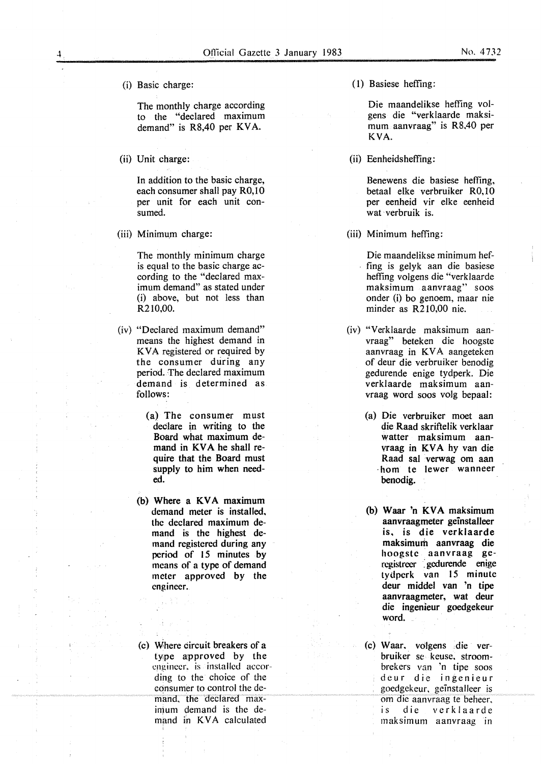(i) Basic charge:

The monthly charge according to the "declared maximum demand" is R8,40 per **KV A.** 

(ii) Unit charge:

In addition to the basic charge, each consumer shall pay R0,10 per unit for each unit consumed.

(iii) Minimum charge:

The monthly minimum charge is equal to the basic charge according to the "declared maximum demand" as stated under (i) above, but not less than R210,00.

- (iv) "Declared maximum demand" means the highest demand in KVA registered or required by the consumer during any period. The declared maximum demand is determined as follows:
	- (a) The consumer must declare in writing to the Board what maximum demand in **KV A** he shall require that the Board must supply to him when needed.
	- (b) Where a **KV A** maximum demand meter is installed. the declared maximum demand is the highest demand registered during any period of 15 minutes by means of a type of demand meter approved by the engineer.
	- (c) Where circuit breakers of a type approved by the engineer, is installed according to the choice of the consumer to control the demand, the declared maximum demand is the demand in KVA calculated

(l) Basiese hefting:

Die maandelikse hefting volgens die "verklaarde maksimum aanvraag" is R8.40 per **KVA.** 

(ii) Eenheidsheffing:

Benewens die basiese hefting. betaal elke verbruiker RO, IO per eenheid vir elke eenheid wat verbruik is.

- (iii) Minimum heffing:
	- Die maandelikse minimum heffing is gelyk aan die basiese hefting volgens die "verklaarde maksimum aanvraag" soos onder (i) bo genoem, maar nie minder as R210,00 nie.
- (iv) "Verklaarde maksimum aanvraag" beteken die hoogste aanvraag in KVA aangeteken of deur die verbruiker benodig gedurende enige tydperk. Die verklaarde maksimum aanvraag word soos volg bepaal:
	- (a) Die verbruiker moet aan die Raad skriftelik verklaar watter maksimum aanvraag in KVA hy van die Raad sat verwag om aan hom te lewer wanneer benodig.
	- (b) Waar 'n **KV A** maksimum aanvraagmeter geinstalleer is. is die verklaarde maksimum aanvraag die hoogste aanvraag gercgistrccr : gcdurende enige tydperk van 15 minute deur middel van 'n tipe aanvraagmeter, wat deur die ingenieur goedgekeur word.
	- (c) Waar. volgens die verbruiker se keuse, stroombrekers van 'n tipe soos deur die ingenieur goedgekeur, geinstalleer is om die aanvraag te beheer, is die verklaarde maksimum aanvraag in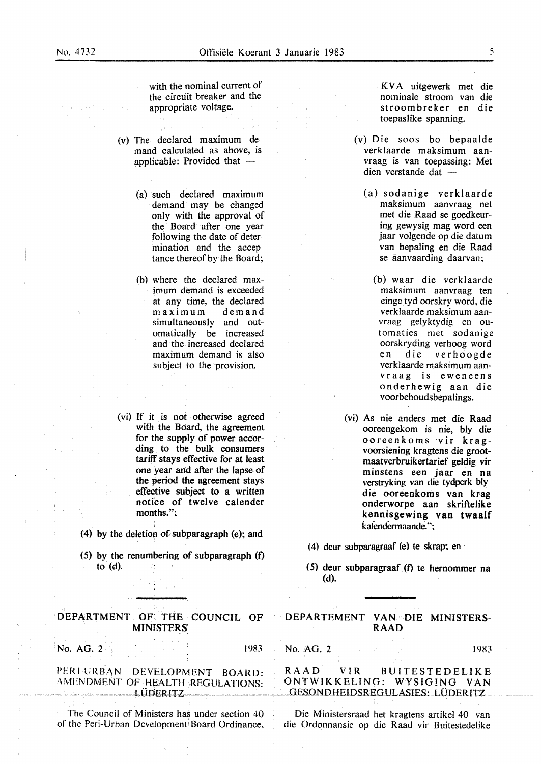with the nominal current of the circuit breaker and the appropriate voltage.

- (v) The declared maximum demand calculated as above, is applicable: Provided that  $-$ 
	- (a) such declared maximum demand may be changed only with the approval of the Board after one year following the date of determination and the acceptance thereof by the Board;
	- (b) where the declared maximum demand is exceeded at any time, the declared maximum demand simultaneously and outomatically be increased and the increased declared maximum demand is also subject to the provision.
- (vi) If it is not otherwise agreed with the Board, the agreement for the supply of power according to the bulk consumers tariff stays effective for at least one year and after the lapse of the period the agreement stays effective subject to a written notice of twelve calender months.";

(4) by the deletion of subparagraph (e); and

 $(5)$  by the renumbering of subparagraph  $(f)$ to (d).

#### **DEPARTMENT OF;** THE **COUNCIL OF MINISTERS:**

 $N$ o. AG. 2 1983

PERI-URBAN DEVELOPMENT BOARD: AMENDMENT OF HEALTH REGULATIONS: LODERITZ

The Council of Ministers has under section 40 of the Peri-Urban Development Board Ordinance, KV A uitgewerk met die nominate stroom van die stroombreker en die toepaslike spanning.

- (v) Die soos bo bepaalde verklaarde maksimum aanvraag is van toepassing: Met dien verstande dat -
	- (a) sodanige verklaarde maksimum aanvraag net met die Raad se goedkeuring gewysig mag word een jaar volgende op die datum van bepaling en die Raad se aanvaarding daarvan;
	- (b) waar die verklaarde maksimum aanvraag ten einge tyd oorskry word, die verklaarde maksimum aanvraag gelyktydig en outomaties met sodanige oorskryding verhoog word en die verhoogde verklaarde maksimum aanvraag is eweneens onderhewig aan die voorbehoudsbepalings.
- (vi) As nie anders met die Raad ooreengekom is nie, bly die ooreenkoms vir kragvoorsiening kragtens die grootmaatverbruikertarief geldig vir minstens een jaar en na verstryking van die tydperk bly die ooreenkoms van krag onderworpe aan skriftelike kennisgewing van twaalf kalendermaande.":
- (4) deur subparagraaf (e) te skrap; en
- (5) deur subparagraaf (f) te hernommer na (d).

DEPARTEMENT VAN DIE MINISTERS-**RAAD** 

#### No. AG. 2 1983

RAAD VIR BUITESTEDELIKE ONTWIKKELING: WYSIG!NG VAN GESONDHEIDSREGULASIES: LÜDERITZ

Die Ministersraad het kragtens artikel 40 van die Ordonnansie op die Raad vir Buitestedelike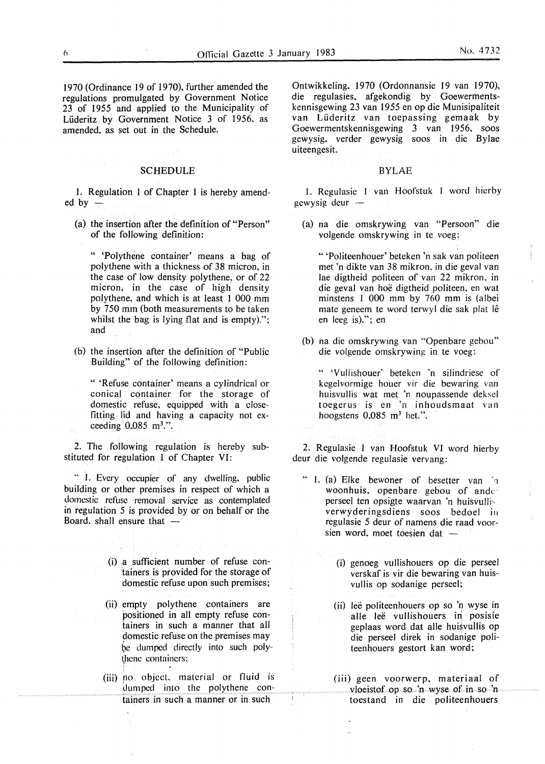1970 (Ordinance 19 of 1970), further amended the regulations promulgated by Government Notice 23 of 1955 and applied to the Municipality of Lüderitz by Government Notice 3 of 1956, as amended, as set out in the Schedule.

#### SCHEDULE

1. Regulation 1 of Chapter 1 is hereby amended by  $-$ 

(a) the insertion after the definition of "Person" of the following definition:

" 'Polythene container' means a bag of polythene with a thickness of 38 micron, in the case of low density polythene, or of 22 micron. in the case of high density polythene, and which is at least 1 000 mm by 750 mm (both measurements to be taken whilst the bag is lying flat and is empty).": and

(b) the insertion after the definition of "Public Building" of the following definition:

" 'Refuse container' means a cylindrical or conical container for the storage of domestic refuse. equipped with a closefitting lid and having a capacity not exceeding  $0.085$  m<sup>3</sup>.".

2. The following regulation is hereby substituted for regulation 1 of Chapter VI:

.. °I. Every occupier of any dwelling, public building or other premises in respect of which a domestic refuse removal service as contemplated in regulation 5 is provided by or on behalf or the Board, shall ensure that  $-$ 

> (i) a sufficient number of refuse containers is provided for the storage of

- domestic refuse upon such premises; (ii) empty polythene containers are
- positioned in all empty refuse containers in such a manner that all domestic refuse on the premises may be dumped directly into such polythene containers:
- (iii) no object, material or fluid is dumped into the polythene containers in such a manner or in such

> •

Ontwikkeling, 1970 (Ordonnansie 19 van 1970), die regulasies, afgekondig by Goewermentskennisgewing 23 van 1955 en op die Munisipaliteit van Liideritz van toepassing gemaak by Goewermentskennisgewing 3 van 1956, soos gewysig, verder gewysig soos in die Bylae uiteengesit.

#### BYLAE

I. Regulasie I van Hoofstuk I word hierby gewysig deur

(a) na die omskrywing van "Persoon" die volgende omskrywing in te voeg;

" 'Politeenhouer' beteken 'n sak van politeen met 'n dikte van 38 mikron, in die geval van lae digtheid politeen of van 22 mikron. in die geval van hoe digtheid politeen. en wat minstens I 000 mm by 760 mm is (albei mate geneem te word terwyl die sak plat lê en leeg is)."; en

(b) na die omskrywing van "Openbare gebou" die volgende omskrywing in te voeg:

" 'Vullishouer' betekcn 'n silindriese of kegelvormige houer vir die bewaring van huisvullis wat met 'n noupassende deksel toegerus is en 'n inhoudsmaat van hoogstens  $0.085$  m<sup>3</sup> het.".

2. Regulasie 1 van Hoofstuk VI word hierby deur die volgende regulasie vervang:

- " 1. (a) Elke bewoner of besetter van <sup>1</sup>1 woonhuis. openbare gebou of ander perseel ten opsigte waarvan 'n huisvullisverwyderingsdiens soos bedoel in regulasie 5 deur of namens die raad voorsien word. moet toesien dat -
	- (i) genoeg vullishouers op die perseel verskaf is vir die bewaring van huisvullis op sodanige perseel;
	- (ii) leë politeenhouers op so 'n wyse in alle leë vullishouers in posisie geplaas word dat alle huisvullis op die perseel direk in sodanige politeenhouers gestort kan word;
	- (iii) geen voorwerp, materiaal of vloeistof op so 'n wyse of in so 'n toestand in die politeenhouers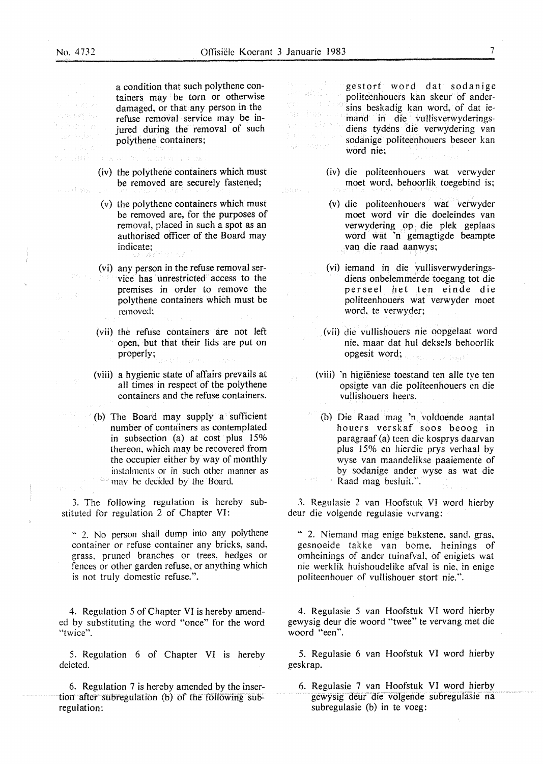dination.

ช่วงเรียกใ

and my

a condition that such polythene containers may be torn or otherwise damaged, or that any person in the refuse removal service may be injured during the removal of such polythene containers;

- (iv) the polythene containers which must be removed are securely fastened;
- (v) the polythene containers which must be removed are, for the purposes of removal, placed in such a spot as an authorised officer of the Board may indicate;
- (vi) any person in the refuse removal service has unrestricted access to the premises in order to remove the polythene containers which must be removed:
- (vii) the refuse containers are not left open. but that their lids are put on properly;
- (viii) a hygienic state of affairs prevails at all times in respect of the polythene containers and the refuse containers.
- {b) The Board may supply a sufficient number of containers as contemplated in subsection (a) at cost plus 15% thereon, which may be recovered from the occupier either by way of monthly instalments or in such other manner as -Ba may be decided by the Board.

3. The following regulation is hereby substituted for regulation 2 of Chapter VI:

" 2. No person shall dump into any polythene container or refuse container any bricks, sand. grass. pruned branches or trees, hedges or fences or other garden refuse, or anything which is not truly domestic refuse.".

4. Regulation *5* of Chapter VI is hereby amended by substituting the word "once" for the word "twice".

5. Regulation 6 of Chapter VI is hereby deleted.

6. Regulation 7 is hereby amended by the insertion after subregulation (b) of the following subregulation:

gestort word dat sodanige der adoll vall politeenhouers kan skeur of andersins beskadig kan word, of dat iemand in die vullisverwyderingssay na Sker diens tydens die verwydering van sodanige politeenhouers beseer kan word nie;

- (iv) die politeenhouers wat verwyder moet word. behoorlik toegebind is;
- (v) die politeenhouers wat verwyder moet word vir die doeleindes van verwydering op. die plek geplaas word wat 'n gemagtigde beampte van die raad aanwys;
- (vi) iemand in die vullisverwyderingsdiens onbelemmerde toegang tot die perseel het ten einde die politeenhouers wat verwyder moet word, te verwyder;
- (vii) die vullishouers nie oopgelaat word nie, maar dat hul deksels behoorlik opgesit word;
- (viii) 'n higieniese toestand ten alle tye ten opsigte van die politeenhouers en die vullishouers beers.
- (b) Die Raad mag 'n voldoende aantal houers verskaf soos beoog in paragraaf (a) teen die kosprys daarvan plus 15% en hierdie prys verhaal by wyse van maandelikse paaiemente of by sodanige ander wyse as wat die Raad mag besluit.".

3. Regulasie 2 van Hoofstuk VI word hierby deur die volgende regulasie vervang:

" 2. Niemand mag enige bakstene. sand. gras. gesnoeide takke van bome, heinings of omheinings of ander tuinafval, of enigiets wat nie werklik huishoudelike afval is nie. in enige politeenhouer of vullishouer stort nie.".

4. Regulasie 5 van Hoofstuk VI word hierby gewysig deur die woord "twee" te vervang met die woord "een".

5. Regulasie 6 van Hoofstuk VI word hierby geskrap.

6. Regulasie 7 van Hoofstuk VI word hierby gewysig deur die volgende subregulasie na subregulasie (b) in te voeg: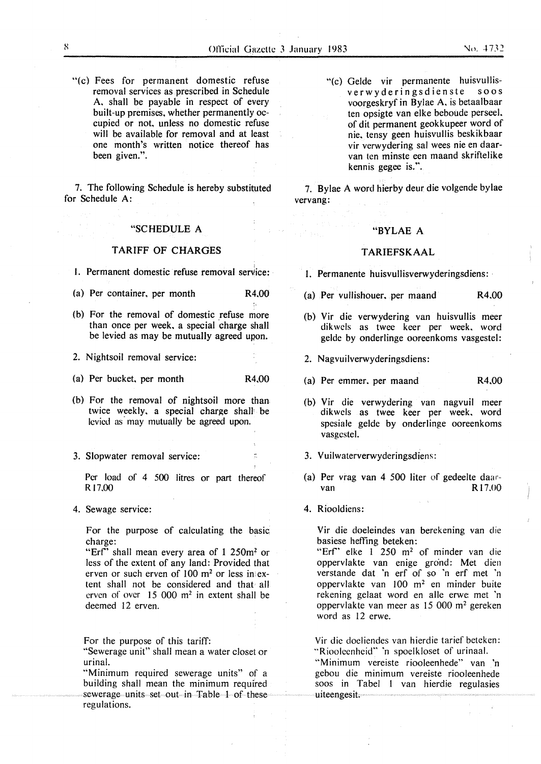"(c) Fees for permanent domestic refuse removal services as prescribed in Schedule A, shall be payable in respect of every built-up premises. whether permanently occupied or not. unless no domestic refuse will be available for removal and at least one month's written notice thereof has been given.".

7. The following Schedule is hereby substituted for Schedule A:

#### "SCHEDULE A

#### TARIFF OF CHARGES

1. Permanent domestic refuse removal service:

(a) Per container. per month R4.00

(b} For the removal of domestic refuse more than once per week, a special charge shall be levied as may be mutually agreed upon.

2. Nightsoil removal service:

(a) Per bucket, per month R4.00

- (b) For the removal of nightsoil more than twice weekly. a special charge shalJ: be levied as may mutually be agreed upon.
- 3. Slopwater removal service:

Per load of 4 500 litres or part thereof Rl7.00

4. Sewage service:

For the purpose of calculating the basic charge:

"Erf" shall mean every area of 1 250m? or less of the extent of any land: Provided that erven or such erven of  $100 \text{ m}^2$  or less in extent shall not be considered and that all erven of over 15 000 m2 in extent shall be deemed 12 erven.

For the purpose of this tariff:

"Sewerage unit" shall mean a water closet or urinal.

"Minimum required sewerage units" of a building shall mean the minimum requfred sewerage units set out in Table 1 of these regulations.

"(c) Gelde vir permanente huisvullisverwyderingsdienste soos voorgeskryf in Bylae A. is betaalbaar ten opsigte van elke beboude perseel. of dit permanent geokkupeer word of nie. tensy geen huisvullis beskikbaar vir verwydering sal wees nie en daarvan ten minste een maand skriftelike kennis gegee is.".

7. Bylae A word hierby deur die volgende bylae vervang:

#### "BYLAE A

#### T **ARIEFSKAAL**

- I. Permanente huisvullisverwyderingsdiens:
- (a) Per vullishouer. per maand **R4.00**
- (b) Vir die verwydering van huisvullis meer dik wels as twee keer per week. word gelde by onderlinge ooreenkoms vasgestel:
- 2. Nagvuilverwyderingsdiens:
- (a) Per emmer. per maand R4.00
- (b) Vir die verwydering van nagvuil meer dikwels as twee keer per week. word spesiale gelde by onderlinge ooreenkoms vasgestel.
- 3. Vuilwaterverwyderingsdiens:
- (a) Per vrag van 4 500 liter of gedeelte daarvan R<sub>17.00</sub>
- 4. Riooldiens:

Vir die doeleindes van berekening van die basiese hefting beteken:

"Erf" elke 1 250 m<sup>2</sup> of minder van die oppervlakte van enige grond: Met dien verstande dat 'n erf of so 'n erf met 'n oppervlakte van 100 m2 en minder buite rekening gelaat word en alle erwe: met 'n oppervlakte van meer as 15 000 m<sup>2</sup> gereken word as 12 erwe.

Vir die doeliendes van hierdie tarief beteken: "Riooleenheid" 'n spoelkloset of urinaal.

"Minimum vereiste riooleenhede" van 'n gebou die minimum vereiste riooleenhede soos in Tabel l van hierdie regulasies uiteengesit.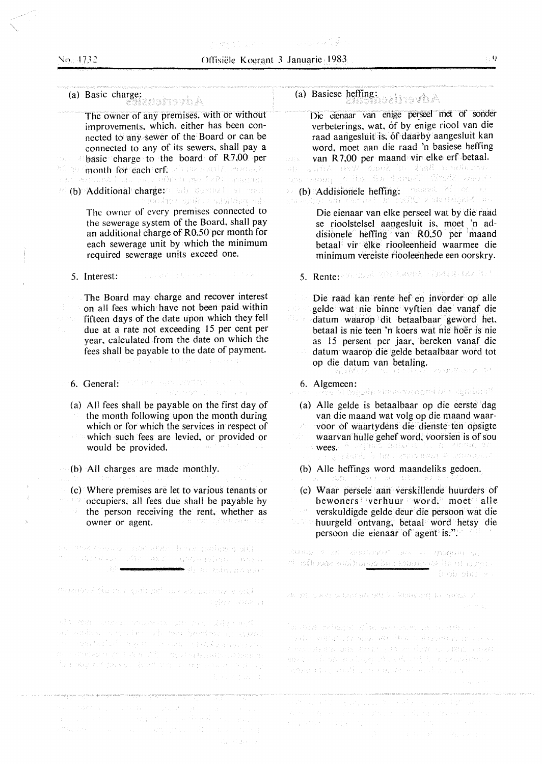## (a) Basic charge:

The owner of any premises, with or without improvements, which, either has been connected to any sewer of the Board or can be connected to any of its sewers, shall pay a basic charge to the board of **R** 7,00 per month for each crf will we shall contain.<br>This containst bin and 00000 and 1801 massing. (b) Additional charge: ab document of the Co

The owner of every premises connected to the sewerage system of the Board, shall pay an additional charge of RO.SO per month for each sewerage unit by which the minimum required sewerage units exceed one.

and the program

5. Interest:

The Board may charge and recover interest on all fees which have not been paid within fifteen days of the date upon which they fell due at a rate not exceeding 15 per cent per year, calculated from the date on which the fees shall be payable to the date of payment.

6. General: 1992 Bee September 1993 and N

(a) All fees shall be payable on the first day of the month following upon the month during which or for which the services in respect of which such fees are levied, or provided or would be provided.

(b) All charges are made monthly.

(c) Where premises are let to various tenants or **Coccupiers**, all fees due shall be payable by the person receiving the rent, whether as owner or agent.

ta Prespecto statistic bree prémis diff 

mompost du nos gottené ou costiguiero o p.O. ander lande av

Alt ma were maked on pay given a al estado e en la caboran beseiro de apeci an a gul scríobh agus a chruiseachas sa bhaile an c ile z statko a griduka aliti - dostatki jedini Admini Alicha Charles Communications

matematika (1966 – 1967) ga se sela dubis sabi sistema<br>1966 – 1966 and sistema (1966 – 1967) ga sela dubis sabi sistema<br>1966 Abris Sistema (1967) ga sela de Brazilia (1967)<br>2014 Abris Sistema (1967) ga Santa Sabi sabi sist Standard Company

### (a) Basiese hefting:

Die eienaar van enige perseel met of sonder verbeterings, wat, of by enige riool van die raad aangesluit is, of daarby aangesluit kan word, moet aan die raad 'n basiese hefting van **R** 7,00 per maand vir elke erf betaal. vida. an (b) Addisionele heffing: connect 25 oz. to

Die eienaar van elke perseel wat by die raad se rioolstelsel aangesluit is, moet 'n addisionele hefting van R0,50 per maand betaal vir elke riooleenheid waarmee die minimum vereiste riooleenhede een oorskry.

5. Rente: 2010/2010 2012/2010 10:413-122-3:

Die raad kan rente hef en invorder op alle gelde wat nie binne vyftien dae vanaf die 경기도 datum waarop dit betaalbaar geword het, betaal is nie teen 'n koers wat nie hoer is nie as 15 persent per jaar, bereken vanaf die datum waarop die gelde betaalbaar word tot op die datum van betaling. generation of the

- 6. Algemeen:<br>en: was of bassile altomorganari blackgabine<sup>st</sup>
- (a) Alie gelde is betaalbaar op die eerste dag van die maand wat volg op die maand waarvoor of waartydens die dienste ten opsigte waarvan hulle gehef word, voorsien is of sou wees. A laguns multa a hij de aman 10<br>Ti rigadendi à bro annances 4 intentious
- (b) Alie heftings word maandeliks gedoen.

(c) Waar persele aan verskillende huurders of bewoners verhuur word, moet alle verskuldigde gelde deur die persoon wat die huurgeld oritvang, betaal word hetsy die persoon die eienaar of agent is.".

линая (пак баявилия) эмага людовно лет denfloses subliman has shall as liked open.

as in that the barm will be immediated by a

ในเจนได้ เหรียมชน อนิโซอ ของความหนาม เขาเขาเขา จะ to due garbadora quas sua situación escursos en servo t enschrijven und durch ginne dem als zimm von and we have an action of their stript, on removing to begraduary and the conservation during a c

andro estado de la partidade de la california de la partidade de la partidade de la partidade de la partidade<br>En 1930, estado de la partidade de la partidade de la partidade de la partidade de la partidade de la partidad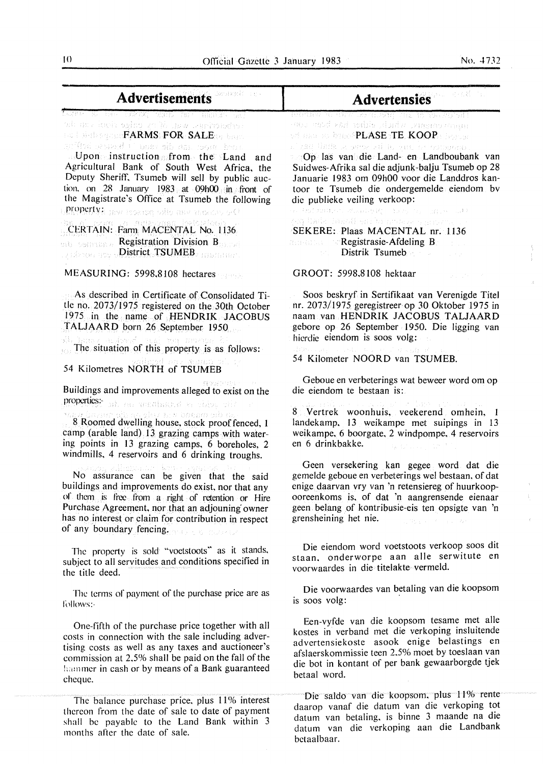| <b>Advertisements</b>                                                                                                                                                                                                                                                                                                                                                                                                                                                                                                                                                                                                                                                                                                                                                                                                                                                                                                                                                                      | Advertensies                                                                                                                                                                                                                                                                                                                                                                                                                                                                                                                                                                                                                                                                                                                                                                                                                                                                        |
|--------------------------------------------------------------------------------------------------------------------------------------------------------------------------------------------------------------------------------------------------------------------------------------------------------------------------------------------------------------------------------------------------------------------------------------------------------------------------------------------------------------------------------------------------------------------------------------------------------------------------------------------------------------------------------------------------------------------------------------------------------------------------------------------------------------------------------------------------------------------------------------------------------------------------------------------------------------------------------------------|-------------------------------------------------------------------------------------------------------------------------------------------------------------------------------------------------------------------------------------------------------------------------------------------------------------------------------------------------------------------------------------------------------------------------------------------------------------------------------------------------------------------------------------------------------------------------------------------------------------------------------------------------------------------------------------------------------------------------------------------------------------------------------------------------------------------------------------------------------------------------------------|
| Long a car conta, than in mann an<br>ab any indroging you're man risk can de<br>for finite segment $\pmb{\text{FARMS}}$ , $\pmb{\text{FOR}}$ : $\pmb{\text{SALE}}$ and $\pmb{\text{FMS}}$ .<br>an'ilay modulasi dhan bilan ang kalifat<br>Upon instruction from the Land<br>and<br>Agricultural Bank of South West Africa, the<br>Deputy Sheriff, Tsumeb will sell by public auc-<br>tion, on 28 January $1983$ at $09h00$ in front of<br>the Magistrate's Office at Tsumeb the following<br><b>property:</b> mw isseder who asy measure of!                                                                                                                                                                                                                                                                                                                                                                                                                                               | BROTHN OR ORN LESSER NO. TOR TO TOWER PRIS<br>mou mud kan while pludy programman<br>with an albert $\mathsf{P}\mathsf{LASE}$ , $\mathsf{TE\_KOOP}$ . Explore<br>n' gao limita se perce eti le vate ne componen<br>Op las van die Land- en Landboubank van<br>Suidwes-Afrika sal die adjunk-balju Tsumeb op 28<br>Januarie 1983 om 09h00 voor die Landdros kan-<br>toor te Tsumeb die ondergemelde eiendom by<br>die publieke veiling verkoop:<br>an Professional Reader Reservation and all the                                                                                                                                                                                                                                                                                                                                                                                     |
| en almazar ka waisy <u>ansa l</u> ogiogiachi <sub>a.</sub><br>CERTAIN: Farm MACENTAL No. 1136<br>mb Seman Registration Division BENERAL<br>Fibrook and District TSUMEB, International                                                                                                                                                                                                                                                                                                                                                                                                                                                                                                                                                                                                                                                                                                                                                                                                      | org Dade Theodi en der hebbook genomig in<br>SEKERE: Plaas MACENTAL nr. 1136<br><b>Research Convergestrasie-Afdeling Beautiful Convergences</b><br>Distrik Tsumeb<br>44.000                                                                                                                                                                                                                                                                                                                                                                                                                                                                                                                                                                                                                                                                                                         |
| MEASURING: 5998,8108 hectares                                                                                                                                                                                                                                                                                                                                                                                                                                                                                                                                                                                                                                                                                                                                                                                                                                                                                                                                                              | GROOT: 5998,8108 hektaar<br>and the control                                                                                                                                                                                                                                                                                                                                                                                                                                                                                                                                                                                                                                                                                                                                                                                                                                         |
| As described in Certificate of Consolidated Ti-<br>tle no. 2073/1975 registered on the 30th October<br>1975 in the name of HENDRIK JACOBUS<br>TALJAARD born 26 September 1950<br>di husu ashek an' mgamba<br>The situation of this property is as follows:<br>sailmed onv manna t<br>54 Kilometres NORTH of TSUMEB<br>有的复数的复数形式<br>Buildings and improvements alleged to exist on the<br>properties: ab ac unadhand a ching city of<br><b>Example 2018</b> Roomed dwelling house, stock proof fenced, 1<br>camp (arable land) 13 grazing camps with water-<br>ing points in 13 grazing camps, 6 boreholes, 2<br>windmills, 4 reservoirs and 6 drinking troughs.<br>pada palingan kuta pala bas<br>No assurance can be given that the said<br>buildings and improvements do exist, nor that any<br>of them is free from a right of retention or Hire<br>Purchase Agreement, nor that an adjouning owner<br>has no interest or claim for contribution in respect<br>of any boundary fencing. | Soos beskryf in Sertifikaat van Verenigde Titel<br>nr. 2073/1975 geregistreer op 30 Oktober 1975 in<br>naam van HENDRIK JACOBUS TALJAARD<br>gebore op 26 September 1950. Die ligging van<br>hierdie eiendom is soos volg:<br>diges and consider a problem in a part of the<br>54 Kilometer NOORD van TSUMEB.<br>Geboue en verbeterings wat beweer word om op<br>die eiendom te bestaan is:<br>8 Vertrek woonhuis, veekerend omhein, 1<br>landekamp, 13 weikampe met suipings in 13<br>weikampe, 6 boorgate, 2 windpompe, 4 reservoirs<br>en 6 drinkbakke.<br>da Kiribaan (K<br>Geen versekering kan gegee word dat die<br>gemelde geboue en verbeterings wel bestaan, of dat<br>enige daarvan vry van 'n retensiereg of huurkoop-<br>ooreenkoms is, of dat 'n aangrensende eienaar<br>geen belang of kontribusie-eis ten opsigte van 'n<br>grensheining het nie.<br>CONSERVATION AP |
| The property is sold "voetstoots" as it stands,<br>subject to all servitudes and conditions specified in<br>the title deed.                                                                                                                                                                                                                                                                                                                                                                                                                                                                                                                                                                                                                                                                                                                                                                                                                                                                | Die eiendom word voetstoots verkoop soos dit<br>staan, onderworpe aan alle serwitute en<br>voorwaardes in die titelakte vermeld.                                                                                                                                                                                                                                                                                                                                                                                                                                                                                                                                                                                                                                                                                                                                                    |
| The terms of payment of the purchase price are as<br>follows:-                                                                                                                                                                                                                                                                                                                                                                                                                                                                                                                                                                                                                                                                                                                                                                                                                                                                                                                             | Die voorwaardes van betaling van die koopsom<br>is soos volg:                                                                                                                                                                                                                                                                                                                                                                                                                                                                                                                                                                                                                                                                                                                                                                                                                       |
| One-fifth of the purchase price together with all<br>costs in connection with the sale including adver-<br>tising costs as well as any taxes and auctioneer's<br>commission at 2.5% shall be paid on the fall of the<br>hammer in cash or by means of a Bank guaranteed<br>cheque.                                                                                                                                                                                                                                                                                                                                                                                                                                                                                                                                                                                                                                                                                                         | Een-vyfde van die koopsom tesame met alle<br>kostes in verband met die verkoping insluitende<br>advertensiekoste asook enige belastings en<br>afslaerskommissie teen 2,5% moet by toeslaan van<br>die bot in kontant of per bank gewaarborgde tjek<br>betaal word.                                                                                                                                                                                                                                                                                                                                                                                                                                                                                                                                                                                                                  |
| The balance purchase price, plus 11% interest<br>thereon from the date of sale to date of payment<br>shall be payable to the Land Bank within 3                                                                                                                                                                                                                                                                                                                                                                                                                                                                                                                                                                                                                                                                                                                                                                                                                                            | Die saldo van die koopsom, plus 11% rente<br>daarop vanaf die datum van die verkoping tot<br>datum van betaling, is binne 3 maande na die                                                                                                                                                                                                                                                                                                                                                                                                                                                                                                                                                                                                                                                                                                                                           |

datum van die verkoping aan die Landbank

betaalbaar.

shall be payable to the Land Bank within 3

months alter the date of sale.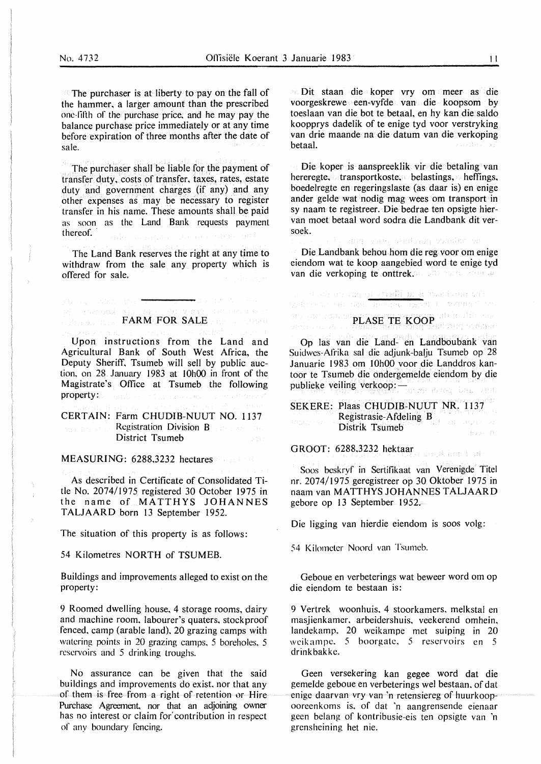$\blacksquare$  The purchaser is at liberty to pay on the fall of the hammer, a larger amount than the prescribed one-filth of the purchase price. and he may pay the balance purchase price immediately or at any time before expiration of three months after the date of sale.

The purchaser shall be liable for the payment of transfer duty, costs of transfer, taxes, rates, estate duty and government charges (if any) and any other expenses as may be necessary to register transfer in his name. These amounts shall be paid as soon as the Land Bank requests payment thereof.

The Land Bank reserves the right at any time to withdraw from the sale any property which is offered for sale.

## **FARM FOR SALE PROPERTY CONTRACT A**

where  $\sim 1000$  and  $\tau$ 

Upon instructions from the Land and Agricultural Bank of South West Africa, the Deputy Sheriff, Tsumeb will sell by public auction. on 28 January 1983 at 10h00 in front of the Magistrate's Office at Tsumeb the following property:

CERTAIN: Farm CHUDIB-NUUT NO. 1137 Registration Division B and the Sec District Tsumeb

MEASURING: 6288,3232 hectares

As described in Certificate of Consolidated Title No. 2074/1975 registered 30 October 1975 in the name of MATTHYS JOHANNES TALJAARD born 13 September 1952.

The situation of this property is as follows:

54 Kilometres NORTH of TSUMEB.

Buildings and improvements alleged to exist on the property:

9 Roomed dwelling house. 4 storage rooms, dairy and machine room, labourer's quaters, stockproof fenced, camp (arable land), 20 grazing camps with watering points in 20 grazing camps, 5 boreholes. 5 reservoirs and 5 drinking troughs.

No assurance can be given that the said buildings and improvements do exist. nor that any of them is free from a right of retention or Hire Purchase Agreement. nor that an adjoining owner has no interest or claim for' contribution in respect of any boundary fencing.

Dit staan die koper vry om meer as die voorgeskrewe een-vyfde van die koopsom by toeslaan van die bot te betaal, en hy kan die saldo koopprys dadelik of te enige tyd voor verstryking van drie maande na die datum van die verkoping betaal. Georgia (19

Die koper is aanspreeklik vir die betaling van hereregte, transportkoste. belastings, heffings, boedelregte en regeringslaste (as daar is) en enige ander gelde wat nodig mag wees om transport in sy naam te registreer. Die bedrae ten opsigte hiervan moet betaal word sodra die Landbank dit versoek.

adiq juan watkada sumitt et

Die Landbank behou horn die reg voor om enige eiendom wat te koop aangebied word te enige tyd van die verkoping te onttrek $\varphi$ le van verkonte

s as a signer any or a<mark>nadii ma</mark>ra washang 66).<br>Raikhana san ngil yinagaya signer na watunci so

### PLASE TE KOOP IN HET THE TELL PRESENTED ON THE TABLE

Op las van die Land- en Landboubank van Suidwes-Afrika sal die adjunk-balju Tsumeb op 28 Januarie 1983 om 10h00 voor die Landdros kantoor te Tsumeb die ondergemelde eiendom by die publieke veiling verkoop: -

SEKERE: Plaas CHUDIB-NUUT NR. 1137 Registrasie-Afdeling B Distrik Tsumeb Jers M

GROOT: 6288,3232 hektaar

Soos beskryf in Sertifikaat van Verenigde Titel nr. 2074/1975 geregistreer op 30 Oktober 1975 in naam van **MATTHYS JOHANNES TALJAARD**  gebore op 13 September 1952.

Die ligging van hierdie eiendom is soos volg:

54 Kilometer Noord van Tsumeb.

Geboue en verbeterings wat beweer word om op die eiendom te bestaan is:

9 Vertrek woonhuis. 4 stoorkamers. melkstal en masjienkamer, arbeidershuis. veekerend omhein. landekamp. 20 weikampe met suiping in 20 weikampe. 5 boorgate. 5 reservoirs en 5 drinkbakke.

Geen versekering kan gegee word dat die gemelde geboue en verbeterings wel bestaan. of dat enige daarvan vry van "n retensiereg of huurkoopooreenkoms is. of dat 'n aangrensende eienaar geen belang of kontribusie-eis ten opsigte van 'n grensheining het nie.